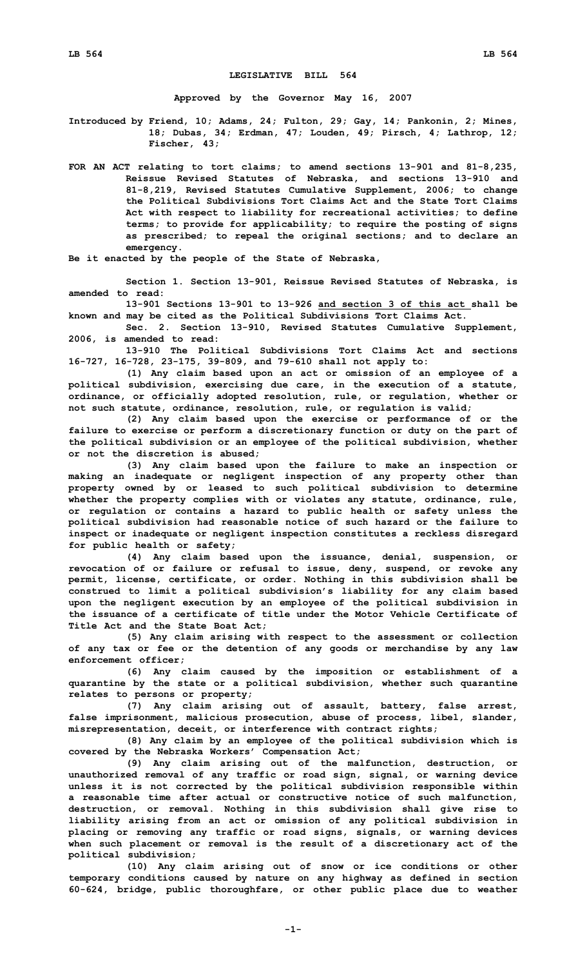## **LEGISLATIVE BILL 564**

**Approved by the Governor May 16, 2007**

**Introduced by Friend, 10; Adams, 24; Fulton, 29; Gay, 14; Pankonin, 2; Mines, 18; Dubas, 34; Erdman, 47; Louden, 49; Pirsch, 4; Lathrop, 12; Fischer, 43;**

**FOR AN ACT relating to tort claims; to amend sections 13-901 and 81-8,235, Reissue Revised Statutes of Nebraska, and sections 13-910 and 81-8,219, Revised Statutes Cumulative Supplement, 2006; to change the Political Subdivisions Tort Claims Act and the State Tort Claims Act with respect to liability for recreational activities; to define terms; to provide for applicability; to require the posting of signs as prescribed; to repeal the original sections; and to declare an emergency.**

**Be it enacted by the people of the State of Nebraska,**

**Section 1. Section 13-901, Reissue Revised Statutes of Nebraska, is amended to read:**

**13-901 Sections 13-901 to 13-926 and section 3 of this act shall be known and may be cited as the Political Subdivisions Tort Claims Act.**

**Sec. 2. Section 13-910, Revised Statutes Cumulative Supplement, 2006, is amended to read:**

**13-910 The Political Subdivisions Tort Claims Act and sections 16-727, 16-728, 23-175, 39-809, and 79-610 shall not apply to:**

**(1) Any claim based upon an act or omission of an employee of <sup>a</sup> political subdivision, exercising due care, in the execution of <sup>a</sup> statute, ordinance, or officially adopted resolution, rule, or regulation, whether or not such statute, ordinance, resolution, rule, or regulation is valid;**

**(2) Any claim based upon the exercise or performance of or the failure to exercise or perform <sup>a</sup> discretionary function or duty on the part of the political subdivision or an employee of the political subdivision, whether or not the discretion is abused;**

**(3) Any claim based upon the failure to make an inspection or making an inadequate or negligent inspection of any property other than property owned by or leased to such political subdivision to determine whether the property complies with or violates any statute, ordinance, rule, or regulation or contains <sup>a</sup> hazard to public health or safety unless the political subdivision had reasonable notice of such hazard or the failure to inspect or inadequate or negligent inspection constitutes <sup>a</sup> reckless disregard for public health or safety;**

**(4) Any claim based upon the issuance, denial, suspension, or revocation of or failure or refusal to issue, deny, suspend, or revoke any permit, license, certificate, or order. Nothing in this subdivision shall be construed to limit <sup>a</sup> political subdivision's liability for any claim based upon the negligent execution by an employee of the political subdivision in the issuance of a certificate of title under the Motor Vehicle Certificate of Title Act and the State Boat Act;**

**(5) Any claim arising with respect to the assessment or collection of any tax or fee or the detention of any goods or merchandise by any law enforcement officer;**

**(6) Any claim caused by the imposition or establishment of <sup>a</sup> quarantine by the state or <sup>a</sup> political subdivision, whether such quarantine relates to persons or property;**

**(7) Any claim arising out of assault, battery, false arrest, false imprisonment, malicious prosecution, abuse of process, libel, slander, misrepresentation, deceit, or interference with contract rights;**

**(8) Any claim by an employee of the political subdivision which is covered by the Nebraska Workers' Compensation Act;**

**(9) Any claim arising out of the malfunction, destruction, or unauthorized removal of any traffic or road sign, signal, or warning device unless it is not corrected by the political subdivision responsible within <sup>a</sup> reasonable time after actual or constructive notice of such malfunction, destruction, or removal. Nothing in this subdivision shall give rise to liability arising from an act or omission of any political subdivision in placing or removing any traffic or road signs, signals, or warning devices when such placement or removal is the result of <sup>a</sup> discretionary act of the political subdivision;**

**(10) Any claim arising out of snow or ice conditions or other temporary conditions caused by nature on any highway as defined in section 60-624, bridge, public thoroughfare, or other public place due to weather**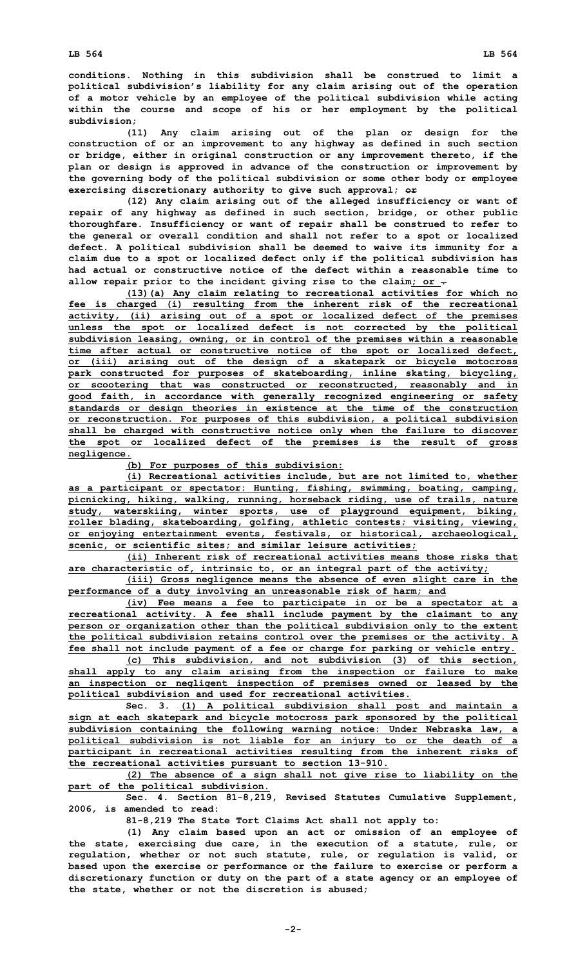**conditions. Nothing in this subdivision shall be construed to limit <sup>a</sup> political subdivision's liability for any claim arising out of the operation of <sup>a</sup> motor vehicle by an employee of the political subdivision while acting within the course and scope of his or her employment by the political subdivision;**

**(11) Any claim arising out of the plan or design for the construction of or an improvement to any highway as defined in such section or bridge, either in original construction or any improvement thereto, if the plan or design is approved in advance of the construction or improvement by the governing body of the political subdivision or some other body or employee exercising discretionary authority to give such approval; or**

**(12) Any claim arising out of the alleged insufficiency or want of repair of any highway as defined in such section, bridge, or other public thoroughfare. Insufficiency or want of repair shall be construed to refer to the general or overall condition and shall not refer to <sup>a</sup> spot or localized defect. A political subdivision shall be deemed to waive its immunity for <sup>a</sup> claim due to <sup>a</sup> spot or localized defect only if the political subdivision has had actual or constructive notice of the defect within a reasonable time to allow repair prior to the incident giving rise to the claim; or .**

**(13)(a) Any claim relating to recreational activities for which no fee is charged (i) resulting from the inherent risk of the recreational activity, (ii) arising out of <sup>a</sup> spot or localized defect of the premises unless the spot or localized defect is not corrected by the political subdivision leasing, owning, or in control of the premises within <sup>a</sup> reasonable time after actual or constructive notice of the spot or localized defect, or (iii) arising out of the design of <sup>a</sup> skatepark or bicycle motocross park constructed for purposes of skateboarding, inline skating, bicycling, or scootering that was constructed or reconstructed, reasonably and in good faith, in accordance with generally recognized engineering or safety standards or design theories in existence at the time of the construction or reconstruction. For purposes of this subdivision, <sup>a</sup> political subdivision shall be charged with constructive notice only when the failure to discover the spot or localized defect of the premises is the result of gross negligence.**

**(b) For purposes of this subdivision:**

**(i) Recreational activities include, but are not limited to, whether as <sup>a</sup> participant or spectator: Hunting, fishing, swimming, boating, camping, picnicking, hiking, walking, running, horseback riding, use of trails, nature study, waterskiing, winter sports, use of playground equipment, biking, roller blading, skateboarding, golfing, athletic contests; visiting, viewing, or enjoying entertainment events, festivals, or historical, archaeological, scenic, or scientific sites; and similar leisure activities;**

**(ii) Inherent risk of recreational activities means those risks that are characteristic of, intrinsic to, or an integral part of the activity;**

**(iii) Gross negligence means the absence of even slight care in the performance of <sup>a</sup> duty involving an unreasonable risk of harm; and**

**(iv) Fee means <sup>a</sup> fee to participate in or be <sup>a</sup> spectator at <sup>a</sup> recreational activity. A fee shall include payment by the claimant to any person or organization other than the political subdivision only to the extent the political subdivision retains control over the premises or the activity. A fee shall not include payment of <sup>a</sup> fee or charge for parking or vehicle entry.**

**(c) This subdivision, and not subdivision (3) of this section, shall apply to any claim arising from the inspection or failure to make an inspection or negligent inspection of premises owned or leased by the political subdivision and used for recreational activities.**

**Sec. 3. (1) <sup>A</sup> political subdivision shall post and maintain <sup>a</sup> sign at each skatepark and bicycle motocross park sponsored by the political subdivision containing the following warning notice: Under Nebraska law, <sup>a</sup> political subdivision is not liable for an injury to or the death of <sup>a</sup> participant in recreational activities resulting from the inherent risks of the recreational activities pursuant to section 13-910.**

**(2) The absence of <sup>a</sup> sign shall not give rise to liability on the part of the political subdivision.**

**Sec. 4. Section 81-8,219, Revised Statutes Cumulative Supplement, 2006, is amended to read:**

**81-8,219 The State Tort Claims Act shall not apply to:**

**(1) Any claim based upon an act or omission of an employee of the state, exercising due care, in the execution of <sup>a</sup> statute, rule, or regulation, whether or not such statute, rule, or regulation is valid, or based upon the exercise or performance or the failure to exercise or perform <sup>a</sup> discretionary function or duty on the part of <sup>a</sup> state agency or an employee of the state, whether or not the discretion is abused;**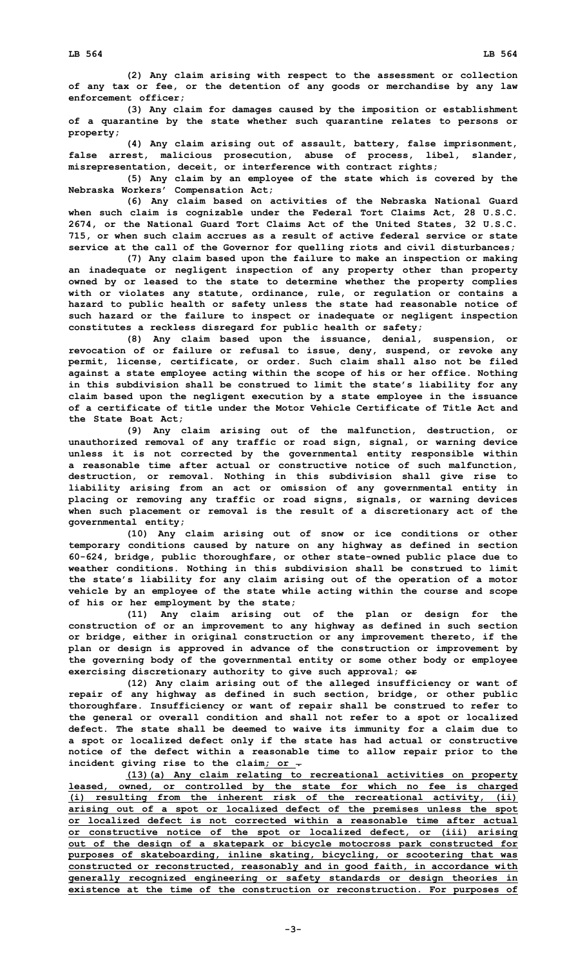**(2) Any claim arising with respect to the assessment or collection of any tax or fee, or the detention of any goods or merchandise by any law enforcement officer;**

**(3) Any claim for damages caused by the imposition or establishment of <sup>a</sup> quarantine by the state whether such quarantine relates to persons or property;**

**(4) Any claim arising out of assault, battery, false imprisonment, false arrest, malicious prosecution, abuse of process, libel, slander, misrepresentation, deceit, or interference with contract rights;**

**(5) Any claim by an employee of the state which is covered by the Nebraska Workers' Compensation Act;**

**(6) Any claim based on activities of the Nebraska National Guard when such claim is cognizable under the Federal Tort Claims Act, 28 U.S.C. 2674, or the National Guard Tort Claims Act of the United States, 32 U.S.C. 715, or when such claim accrues as <sup>a</sup> result of active federal service or state service at the call of the Governor for quelling riots and civil disturbances;**

**(7) Any claim based upon the failure to make an inspection or making an inadequate or negligent inspection of any property other than property owned by or leased to the state to determine whether the property complies with or violates any statute, ordinance, rule, or regulation or contains <sup>a</sup> hazard to public health or safety unless the state had reasonable notice of such hazard or the failure to inspect or inadequate or negligent inspection constitutes <sup>a</sup> reckless disregard for public health or safety;**

**(8) Any claim based upon the issuance, denial, suspension, or revocation of or failure or refusal to issue, deny, suspend, or revoke any permit, license, certificate, or order. Such claim shall also not be filed against <sup>a</sup> state employee acting within the scope of his or her office. Nothing in this subdivision shall be construed to limit the state's liability for any claim based upon the negligent execution by <sup>a</sup> state employee in the issuance of a certificate of title under the Motor Vehicle Certificate of Title Act and the State Boat Act;**

**(9) Any claim arising out of the malfunction, destruction, or unauthorized removal of any traffic or road sign, signal, or warning device unless it is not corrected by the governmental entity responsible within <sup>a</sup> reasonable time after actual or constructive notice of such malfunction, destruction, or removal. Nothing in this subdivision shall give rise to liability arising from an act or omission of any governmental entity in placing or removing any traffic or road signs, signals, or warning devices when such placement or removal is the result of <sup>a</sup> discretionary act of the governmental entity;**

**(10) Any claim arising out of snow or ice conditions or other temporary conditions caused by nature on any highway as defined in section 60-624, bridge, public thoroughfare, or other state-owned public place due to weather conditions. Nothing in this subdivision shall be construed to limit the state's liability for any claim arising out of the operation of <sup>a</sup> motor vehicle by an employee of the state while acting within the course and scope of his or her employment by the state;**

**(11) Any claim arising out of the plan or design for the construction of or an improvement to any highway as defined in such section or bridge, either in original construction or any improvement thereto, if the plan or design is approved in advance of the construction or improvement by the governing body of the governmental entity or some other body or employee exercising discretionary authority to give such approval; or**

**(12) Any claim arising out of the alleged insufficiency or want of repair of any highway as defined in such section, bridge, or other public thoroughfare. Insufficiency or want of repair shall be construed to refer to the general or overall condition and shall not refer to <sup>a</sup> spot or localized defect. The state shall be deemed to waive its immunity for <sup>a</sup> claim due to <sup>a</sup> spot or localized defect only if the state has had actual or constructive notice of the defect within <sup>a</sup> reasonable time to allow repair prior to the incident giving rise to the claim; or .**

**(13)(a) Any claim relating to recreational activities on property leased, owned, or controlled by the state for which no fee is charged (i) resulting from the inherent risk of the recreational activity, (ii) arising out of <sup>a</sup> spot or localized defect of the premises unless the spot or localized defect is not corrected within a reasonable time after actual or constructive notice of the spot or localized defect, or (iii) arising out of the design of <sup>a</sup> skatepark or bicycle motocross park constructed for purposes of skateboarding, inline skating, bicycling, or scootering that was constructed or reconstructed, reasonably and in good faith, in accordance with generally recognized engineering or safety standards or design theories in existence at the time of the construction or reconstruction. For purposes of**